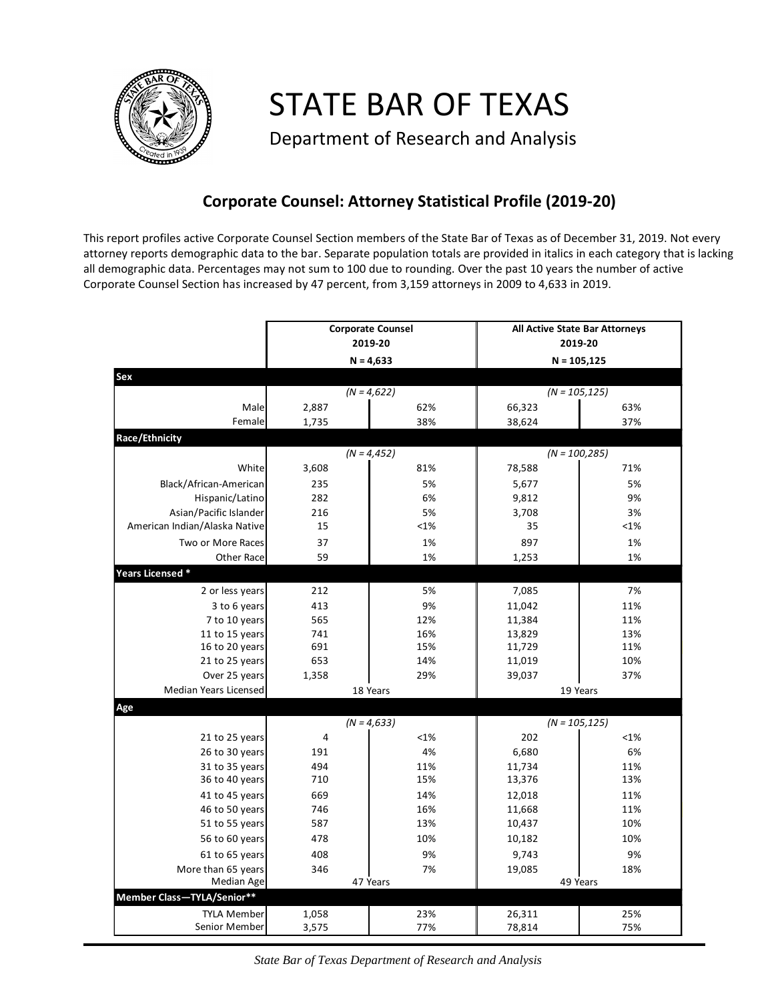

STATE BAR OF TEXAS

Department of Research and Analysis

## **Corporate Counsel: Attorney Statistical Profile (2019-20)**

This report profiles active Corporate Counsel Section members of the State Bar of Texas as of December 31, 2019. Not every attorney reports demographic data to the bar. Separate population totals are provided in italics in each category that is lacking all demographic data. Percentages may not sum to 100 due to rounding. Over the past 10 years the number of active Corporate Counsel Section has increased by 47 percent, from 3,159 attorneys in 2009 to 4,633 in 2019.

|                                     | <b>Corporate Counsel</b><br>2019-20 |  |                | All Active State Bar Attorneys<br>2019-20 |                 |  |
|-------------------------------------|-------------------------------------|--|----------------|-------------------------------------------|-----------------|--|
|                                     | $N = 4,633$                         |  |                | $N = 105, 125$                            |                 |  |
| Sex                                 |                                     |  |                |                                           |                 |  |
|                                     | $(N = 4,622)$                       |  |                | $(N = 105, 125)$                          |                 |  |
| Male                                | 2,887                               |  | 62%            | 66,323                                    | 63%             |  |
| Female                              | 1,735                               |  | 38%            | 38,624                                    | 37%             |  |
| Race/Ethnicity                      |                                     |  |                |                                           |                 |  |
|                                     | $(N = 4, 452)$                      |  |                | $(N = 100, 285)$                          |                 |  |
| White                               | 3,608                               |  | 81%            | 78,588                                    | 71%             |  |
| Black/African-American              | 235                                 |  | 5%             | 5,677                                     | 5%              |  |
| Hispanic/Latino                     | 282                                 |  | 6%             | 9,812                                     | 9%              |  |
| Asian/Pacific Islander              | 216                                 |  | 5%             | 3,708                                     | 3%              |  |
| American Indian/Alaska Native       | 15                                  |  | $<1\%$         | 35                                        | <1%             |  |
| Two or More Races                   | 37                                  |  | 1%             | 897                                       | 1%              |  |
| Other Race                          | 59                                  |  | 1%             | 1,253                                     | 1%              |  |
| Years Licensed *                    |                                     |  |                |                                           |                 |  |
| 2 or less years                     | 212                                 |  | 5%             | 7,085                                     | 7%              |  |
| 3 to 6 years                        | 413                                 |  | 9%             | 11,042                                    | 11%             |  |
| 7 to 10 years                       | 565                                 |  | 12%            | 11,384                                    | 11%             |  |
| 11 to 15 years                      | 741                                 |  | 16%            | 13,829                                    | 13%             |  |
| 16 to 20 years                      | 691                                 |  | 15%            | 11,729                                    | 11%             |  |
| 21 to 25 years                      | 653                                 |  | 14%            | 11,019                                    | 10%             |  |
| Over 25 years                       | 1,358                               |  | 29%            | 39,037                                    | 37%             |  |
| Median Years Licensed               | 18 Years                            |  | 19 Years       |                                           |                 |  |
| Age                                 |                                     |  |                |                                           |                 |  |
|                                     | $(N = 4, 633)$                      |  |                | $(N = 105, 125)$                          |                 |  |
| 21 to 25 years                      | 4                                   |  | <1%            | 202                                       | < 1%            |  |
| 26 to 30 years                      | 191                                 |  | 4%             | 6,680                                     | 6%              |  |
| 31 to 35 years                      | 494                                 |  | 11%            | 11,734                                    | 11%             |  |
| 36 to 40 years                      | 710                                 |  | 15%            | 13,376                                    | 13%             |  |
| 41 to 45 years                      | 669                                 |  | 14%            | 12,018                                    | 11%             |  |
| 46 to 50 years                      | 746                                 |  | 16%            | 11,668                                    | 11%             |  |
| 51 to 55 years                      | 587                                 |  | 13%            | 10,437                                    | 10%             |  |
| 56 to 60 years                      | 478                                 |  | 10%            | 10,182                                    | 10%             |  |
| 61 to 65 years                      | 408                                 |  | 9%             | 9,743                                     | 9%              |  |
| More than 65 years<br>Median Age    | 346                                 |  | 7%<br>47 Years | 19,085                                    | 18%<br>49 Years |  |
| Member Class-TYLA/Senior**          |                                     |  |                |                                           |                 |  |
|                                     |                                     |  |                |                                           |                 |  |
| <b>TYLA Member</b><br>Senior Member | 1,058<br>3,575                      |  | 23%<br>77%     | 26,311<br>78,814                          | 25%<br>75%      |  |
|                                     |                                     |  |                |                                           |                 |  |

*State Bar of Texas Department of Research and Analysis*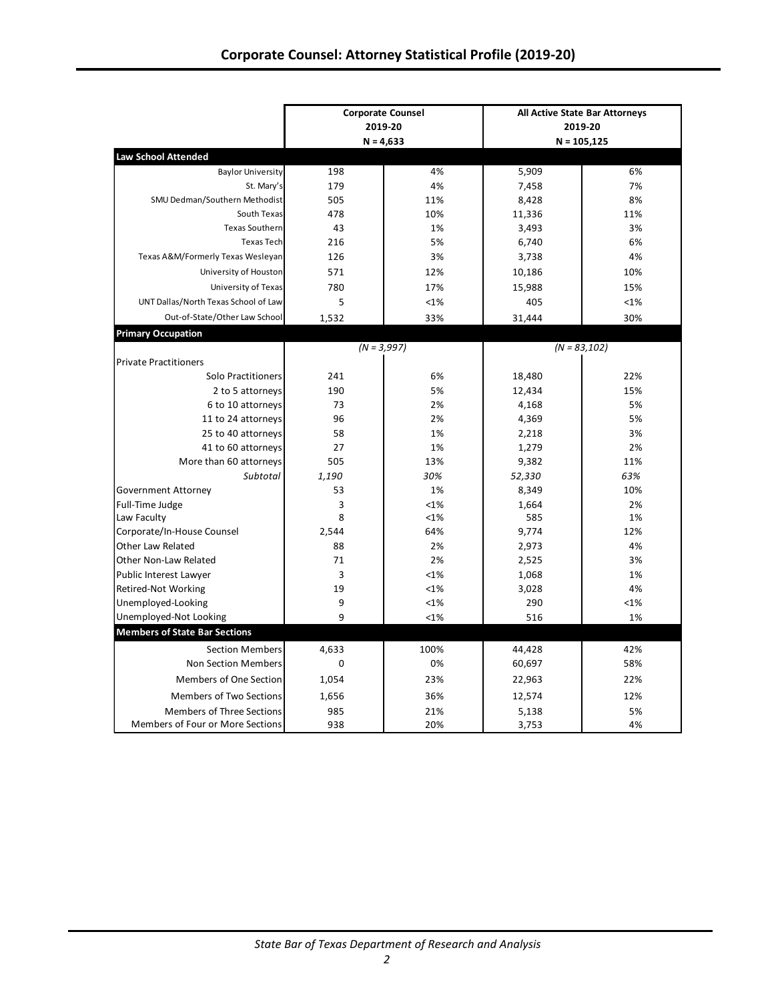| <b>Law School Attended</b><br><b>Baylor University</b><br>4%<br>5,909<br>198<br>St. Mary's<br>179<br>4%<br>7,458<br>SMU Dedman/Southern Methodist<br>505<br>11%<br>8,428<br>South Texas<br>478<br>10%<br>11,336<br>43<br><b>Texas Southern</b><br>1%<br>3,493<br><b>Texas Tech</b><br>216<br>5%<br>6,740<br>Texas A&M/Formerly Texas Wesleyan<br>126<br>3%<br>3,738<br>University of Houston<br>571<br>12%<br>10,186<br>780<br>University of Texas<br>17%<br>15,988<br>UNT Dallas/North Texas School of Law<br>5<br><1%<br>405<br>Out-of-State/Other Law School<br>1,532<br>33%<br>31,444<br><b>Primary Occupation</b><br>$(N = 3,997)$<br>$(N = 83,102)$<br><b>Private Practitioners</b><br>18,480<br>Solo Practitioners<br>241<br>6%<br>190<br>5%<br>2 to 5 attorneys<br>12,434<br>6 to 10 attorneys<br>73<br>2%<br>4,168<br>96<br>11 to 24 attorneys<br>2%<br>4,369 | 6%<br>7%<br>8%<br>11%<br>3%<br>6%<br>4%<br>10%<br>15%<br><1%<br>30% |  |  |
|------------------------------------------------------------------------------------------------------------------------------------------------------------------------------------------------------------------------------------------------------------------------------------------------------------------------------------------------------------------------------------------------------------------------------------------------------------------------------------------------------------------------------------------------------------------------------------------------------------------------------------------------------------------------------------------------------------------------------------------------------------------------------------------------------------------------------------------------------------------------|---------------------------------------------------------------------|--|--|
|                                                                                                                                                                                                                                                                                                                                                                                                                                                                                                                                                                                                                                                                                                                                                                                                                                                                        |                                                                     |  |  |
|                                                                                                                                                                                                                                                                                                                                                                                                                                                                                                                                                                                                                                                                                                                                                                                                                                                                        |                                                                     |  |  |
|                                                                                                                                                                                                                                                                                                                                                                                                                                                                                                                                                                                                                                                                                                                                                                                                                                                                        |                                                                     |  |  |
|                                                                                                                                                                                                                                                                                                                                                                                                                                                                                                                                                                                                                                                                                                                                                                                                                                                                        |                                                                     |  |  |
|                                                                                                                                                                                                                                                                                                                                                                                                                                                                                                                                                                                                                                                                                                                                                                                                                                                                        |                                                                     |  |  |
|                                                                                                                                                                                                                                                                                                                                                                                                                                                                                                                                                                                                                                                                                                                                                                                                                                                                        |                                                                     |  |  |
|                                                                                                                                                                                                                                                                                                                                                                                                                                                                                                                                                                                                                                                                                                                                                                                                                                                                        |                                                                     |  |  |
|                                                                                                                                                                                                                                                                                                                                                                                                                                                                                                                                                                                                                                                                                                                                                                                                                                                                        |                                                                     |  |  |
|                                                                                                                                                                                                                                                                                                                                                                                                                                                                                                                                                                                                                                                                                                                                                                                                                                                                        |                                                                     |  |  |
|                                                                                                                                                                                                                                                                                                                                                                                                                                                                                                                                                                                                                                                                                                                                                                                                                                                                        |                                                                     |  |  |
|                                                                                                                                                                                                                                                                                                                                                                                                                                                                                                                                                                                                                                                                                                                                                                                                                                                                        |                                                                     |  |  |
|                                                                                                                                                                                                                                                                                                                                                                                                                                                                                                                                                                                                                                                                                                                                                                                                                                                                        |                                                                     |  |  |
|                                                                                                                                                                                                                                                                                                                                                                                                                                                                                                                                                                                                                                                                                                                                                                                                                                                                        |                                                                     |  |  |
|                                                                                                                                                                                                                                                                                                                                                                                                                                                                                                                                                                                                                                                                                                                                                                                                                                                                        |                                                                     |  |  |
|                                                                                                                                                                                                                                                                                                                                                                                                                                                                                                                                                                                                                                                                                                                                                                                                                                                                        |                                                                     |  |  |
|                                                                                                                                                                                                                                                                                                                                                                                                                                                                                                                                                                                                                                                                                                                                                                                                                                                                        | 22%                                                                 |  |  |
|                                                                                                                                                                                                                                                                                                                                                                                                                                                                                                                                                                                                                                                                                                                                                                                                                                                                        | 15%                                                                 |  |  |
|                                                                                                                                                                                                                                                                                                                                                                                                                                                                                                                                                                                                                                                                                                                                                                                                                                                                        | 5%                                                                  |  |  |
|                                                                                                                                                                                                                                                                                                                                                                                                                                                                                                                                                                                                                                                                                                                                                                                                                                                                        | 5%                                                                  |  |  |
| 25 to 40 attorneys<br>58<br>1%<br>2,218                                                                                                                                                                                                                                                                                                                                                                                                                                                                                                                                                                                                                                                                                                                                                                                                                                | 3%                                                                  |  |  |
| 41 to 60 attorneys<br>27<br>1%<br>1,279                                                                                                                                                                                                                                                                                                                                                                                                                                                                                                                                                                                                                                                                                                                                                                                                                                | 2%                                                                  |  |  |
| More than 60 attorneys<br>505<br>13%<br>9,382                                                                                                                                                                                                                                                                                                                                                                                                                                                                                                                                                                                                                                                                                                                                                                                                                          | 11%                                                                 |  |  |
| Subtotal<br>1,190<br>30%<br>52,330                                                                                                                                                                                                                                                                                                                                                                                                                                                                                                                                                                                                                                                                                                                                                                                                                                     | 63%                                                                 |  |  |
| 53<br>1%<br>Government Attorney<br>8,349                                                                                                                                                                                                                                                                                                                                                                                                                                                                                                                                                                                                                                                                                                                                                                                                                               | 10%                                                                 |  |  |
| <1%<br>Full-Time Judge<br>3<br>1,664                                                                                                                                                                                                                                                                                                                                                                                                                                                                                                                                                                                                                                                                                                                                                                                                                                   | 2%                                                                  |  |  |
| 8<br>Law Faculty<br><1%<br>585                                                                                                                                                                                                                                                                                                                                                                                                                                                                                                                                                                                                                                                                                                                                                                                                                                         | 1%                                                                  |  |  |
| Corporate/In-House Counsel<br>2,544<br>64%<br>9,774                                                                                                                                                                                                                                                                                                                                                                                                                                                                                                                                                                                                                                                                                                                                                                                                                    | 12%                                                                 |  |  |
| Other Law Related<br>88<br>2%<br>2,973                                                                                                                                                                                                                                                                                                                                                                                                                                                                                                                                                                                                                                                                                                                                                                                                                                 | 4%                                                                  |  |  |
| 71<br>2%<br>Other Non-Law Related<br>2,525                                                                                                                                                                                                                                                                                                                                                                                                                                                                                                                                                                                                                                                                                                                                                                                                                             | 3%                                                                  |  |  |
| 3<br><1%<br>Public Interest Lawyer<br>1,068                                                                                                                                                                                                                                                                                                                                                                                                                                                                                                                                                                                                                                                                                                                                                                                                                            | 1%                                                                  |  |  |
| 19<br>Retired-Not Working<br><1%<br>3,028                                                                                                                                                                                                                                                                                                                                                                                                                                                                                                                                                                                                                                                                                                                                                                                                                              | 4%                                                                  |  |  |
| Unemployed-Looking<br>9<br><1%<br>290                                                                                                                                                                                                                                                                                                                                                                                                                                                                                                                                                                                                                                                                                                                                                                                                                                  | <1%                                                                 |  |  |
| 9<br>Unemployed-Not Looking<br><1%<br>516                                                                                                                                                                                                                                                                                                                                                                                                                                                                                                                                                                                                                                                                                                                                                                                                                              | 1%                                                                  |  |  |
| <b>Members of State Bar Sections</b>                                                                                                                                                                                                                                                                                                                                                                                                                                                                                                                                                                                                                                                                                                                                                                                                                                   |                                                                     |  |  |
| <b>Section Members</b><br>4,633<br>100%<br>44,428                                                                                                                                                                                                                                                                                                                                                                                                                                                                                                                                                                                                                                                                                                                                                                                                                      | 42%                                                                 |  |  |
| 0%<br>Non Section Members<br>0<br>60,697                                                                                                                                                                                                                                                                                                                                                                                                                                                                                                                                                                                                                                                                                                                                                                                                                               | 58%                                                                 |  |  |
| Members of One Section<br>1,054<br>23%<br>22,963                                                                                                                                                                                                                                                                                                                                                                                                                                                                                                                                                                                                                                                                                                                                                                                                                       | 22%                                                                 |  |  |
| Members of Two Sections<br>36%<br>12,574<br>1,656                                                                                                                                                                                                                                                                                                                                                                                                                                                                                                                                                                                                                                                                                                                                                                                                                      | 12%                                                                 |  |  |
| Members of Three Sections<br>985<br>21%<br>5,138                                                                                                                                                                                                                                                                                                                                                                                                                                                                                                                                                                                                                                                                                                                                                                                                                       | 5%                                                                  |  |  |
| Members of Four or More Sections<br>20%<br>938<br>3,753                                                                                                                                                                                                                                                                                                                                                                                                                                                                                                                                                                                                                                                                                                                                                                                                                | 4%                                                                  |  |  |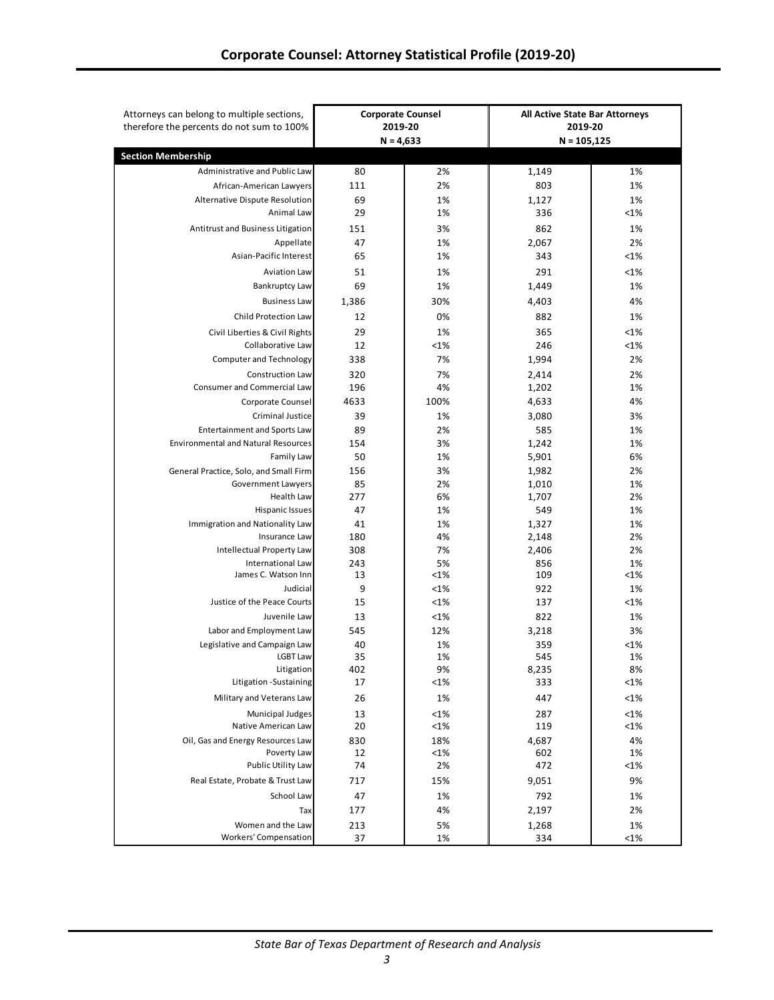| therefore the percents do not sum to 100%          |          | <b>Corporate Counsel</b><br>2019-20<br>$N = 4,633$ | 2019-20<br>$N = 105, 125$ | All Active State Bar Attorneys |
|----------------------------------------------------|----------|----------------------------------------------------|---------------------------|--------------------------------|
| <b>Section Membership</b>                          |          |                                                    |                           |                                |
| Administrative and Public Law                      | 80       | 2%                                                 | 1,149                     | 1%                             |
| African-American Lawyers                           | 111      | 2%                                                 | 803                       | 1%                             |
| Alternative Dispute Resolution                     | 69       | 1%                                                 | 1,127                     | 1%                             |
| Animal Law                                         | 29       | 1%                                                 | 336                       | <1%                            |
| Antitrust and Business Litigation                  | 151      | 3%                                                 | 862                       | 1%                             |
| Appellate                                          | 47       | 1%                                                 | 2,067                     | 2%                             |
| Asian-Pacific Interest                             | 65       | 1%                                                 | 343                       | <1%                            |
| <b>Aviation Law</b>                                | 51       | 1%                                                 | 291                       | <1%                            |
| <b>Bankruptcy Law</b>                              | 69       | 1%                                                 | 1,449                     | 1%                             |
| <b>Business Law</b>                                | 1,386    | 30%                                                | 4,403                     | 4%                             |
|                                                    |          |                                                    |                           |                                |
| Child Protection Law                               | 12       | 0%                                                 | 882                       | 1%                             |
| Civil Liberties & Civil Rights                     | 29       | 1%                                                 | 365                       | <1%                            |
| Collaborative Law                                  | 12       | <1%                                                | 246                       | <1%                            |
| <b>Computer and Technology</b>                     | 338      | 7%                                                 | 1,994                     | 2%                             |
| <b>Construction Law</b>                            | 320      | 7%                                                 | 2,414                     | 2%                             |
| <b>Consumer and Commercial Law</b>                 | 196      | 4%                                                 | 1,202                     | 1%                             |
| Corporate Counsel                                  | 4633     | 100%                                               | 4,633                     | 4%                             |
| Criminal Justice                                   | 39       | 1%                                                 | 3,080                     | 3%                             |
| <b>Entertainment and Sports Law</b>                | 89       | 2%                                                 | 585                       | 1%                             |
| <b>Environmental and Natural Resources</b>         | 154      | 3%                                                 | 1,242                     | 1%                             |
| Family Law                                         | 50       | 1%                                                 | 5,901                     | 6%                             |
| General Practice, Solo, and Small Firm             | 156      | 3%                                                 | 1,982                     | 2%                             |
| Government Lawyers                                 | 85       | 2%                                                 | 1,010                     | 1%                             |
| Health Law                                         | 277      | 6%                                                 | 1,707                     | 2%                             |
| Hispanic Issues<br>Immigration and Nationality Law | 47<br>41 | 1%                                                 | 549                       | 1%                             |
| Insurance Law                                      | 180      | 1%<br>4%                                           | 1,327<br>2,148            | 1%<br>2%                       |
| Intellectual Property Law                          | 308      | 7%                                                 | 2,406                     | 2%                             |
| International Law                                  | 243      | 5%                                                 | 856                       | 1%                             |
| James C. Watson Inn                                | 13       | $<1\%$                                             | 109                       | $<1\%$                         |
| Judicial                                           | 9        | <1%                                                | 922                       | 1%                             |
| Justice of the Peace Courts                        | 15       | <1%                                                | 137                       | <1%                            |
| Juvenile Law                                       | 13       | <1%                                                | 822                       | 1%                             |
| Labor and Employment Law                           | 545      | 12%                                                | 3,218                     | 3%                             |
| Legislative and Campaign Law                       | 40       | 1%                                                 | 359                       | $<$ 1%                         |
| <b>LGBT Law</b>                                    | 35       | 1%                                                 | 545                       | 1%                             |
| Litigation                                         | 402      | 9%                                                 | 8,235                     | 8%                             |
| Litigation - Sustaining                            | 17       | <1%                                                | 333                       | $<$ 1%                         |
| Military and Veterans Law                          | 26       | 1%                                                 | 447                       | <1%                            |
| Municipal Judges                                   | 13       | <1%                                                | 287                       | <1%                            |
| Native American Law                                | 20       | <1%                                                | 119                       | <1%                            |
| Oil, Gas and Energy Resources Law                  | 830      | 18%                                                | 4,687                     | 4%                             |
| Poverty Law                                        | 12       | <1%                                                | 602                       | 1%                             |
| Public Utility Law                                 | 74       | 2%                                                 | 472                       | <1%                            |
| Real Estate, Probate & Trust Law                   | 717      | 15%                                                | 9,051                     | 9%                             |
| School Law                                         | 47       | 1%                                                 | 792                       | 1%                             |
| Tax                                                | 177      | 4%                                                 | 2,197                     | 2%                             |
| Women and the Law                                  | 213      | 5%                                                 | 1,268                     | 1%                             |
| <b>Workers' Compensation</b>                       | 37       | 1%                                                 | 334                       | <1%                            |